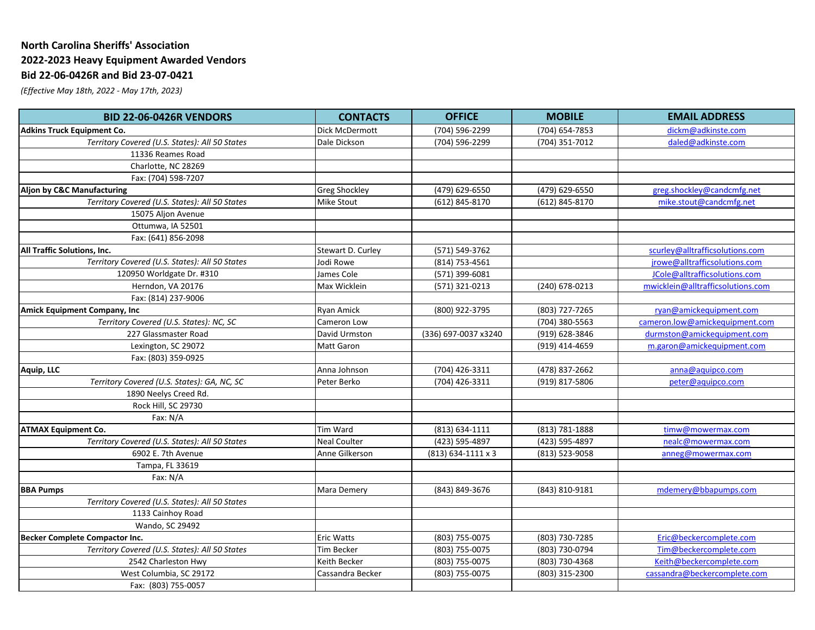## **North Carolina Sheriffs' Association 2022-2023 Heavy Equipment Awarded Vendors Bid 22-06-0426R and Bid 23-07-0421**

*(Effective May 18th, 2022 - May 17th, 2023)*

| <b>BID 22-06-0426R VENDORS</b>                 | <b>CONTACTS</b>      | <b>OFFICE</b>        | <b>MOBILE</b>  | <b>EMAIL ADDRESS</b>              |
|------------------------------------------------|----------------------|----------------------|----------------|-----------------------------------|
| <b>Adkins Truck Equipment Co.</b>              | Dick McDermott       | (704) 596-2299       | (704) 654-7853 | dickm@adkinste.com                |
| Territory Covered (U.S. States): All 50 States | Dale Dickson         | (704) 596-2299       | (704) 351-7012 | daled@adkinste.com                |
| 11336 Reames Road                              |                      |                      |                |                                   |
| Charlotte, NC 28269                            |                      |                      |                |                                   |
| Fax: (704) 598-7207                            |                      |                      |                |                                   |
| Aljon by C&C Manufacturing                     | <b>Greg Shockley</b> | (479) 629-6550       | (479) 629-6550 | greg.shockley@candcmfg.net        |
| Territory Covered (U.S. States): All 50 States | <b>Mike Stout</b>    | (612) 845-8170       | (612) 845-8170 | mike.stout@candcmfg.net           |
| 15075 Aljon Avenue                             |                      |                      |                |                                   |
| Ottumwa, IA 52501                              |                      |                      |                |                                   |
| Fax: (641) 856-2098                            |                      |                      |                |                                   |
| All Traffic Solutions, Inc.                    | Stewart D. Curley    | (571) 549-3762       |                | scurley@alltrafficsolutions.com   |
| Territory Covered (U.S. States): All 50 States | Jodi Rowe            | (814) 753-4561       |                | jrowe@alltrafficsolutions.com     |
| 120950 Worldgate Dr. #310                      | James Cole           | (571) 399-6081       |                | JCole@alltrafficsolutions.com     |
| Herndon, VA 20176                              | Max Wicklein         | (571) 321-0213       | (240) 678-0213 | mwicklein@alltrafficsolutions.com |
| Fax: (814) 237-9006                            |                      |                      |                |                                   |
| <b>Amick Equipment Company, Inc</b>            | <b>Ryan Amick</b>    | (800) 922-3795       | (803) 727-7265 | ryan@amickequipment.com           |
| Territory Covered (U.S. States): NC, SC        | Cameron Low          |                      | (704) 380-5563 | cameron.low@amickequipment.com    |
| 227 Glassmaster Road                           | David Urmston        | (336) 697-0037 x3240 | (919) 628-3846 | durmston@amickequipment.com       |
| Lexington, SC 29072                            | Matt Garon           |                      | (919) 414-4659 | m.garon@amickequipment.com        |
| Fax: (803) 359-0925                            |                      |                      |                |                                   |
| Aquip, LLC                                     | Anna Johnson         | (704) 426-3311       | (478) 837-2662 | anna@aquipco.com                  |
| Territory Covered (U.S. States): GA, NC, SC    | Peter Berko          | (704) 426-3311       | (919) 817-5806 | peter@aquipco.com                 |
| 1890 Neelys Creed Rd.                          |                      |                      |                |                                   |
| Rock Hill, SC 29730                            |                      |                      |                |                                   |
| Fax: $N/A$                                     |                      |                      |                |                                   |
| <b>ATMAX Equipment Co.</b>                     | Tim Ward             | (813) 634-1111       | (813) 781-1888 | timw@mowermax.com                 |
| Territory Covered (U.S. States): All 50 States | <b>Neal Coulter</b>  | (423) 595-4897       | (423) 595-4897 | nealc@mowermax.com                |
| 6902 E. 7th Avenue                             | Anne Gilkerson       | $(813)$ 634-1111 x 3 | (813) 523-9058 | anneg@mowermax.com                |
| Tampa, FL 33619                                |                      |                      |                |                                   |
| Fax: N/A                                       |                      |                      |                |                                   |
| <b>BBA Pumps</b>                               | Mara Demery          | (843) 849-3676       | (843) 810-9181 | mdemery@bbapumps.com              |
| Territory Covered (U.S. States): All 50 States |                      |                      |                |                                   |
| 1133 Cainhoy Road                              |                      |                      |                |                                   |
| Wando, SC 29492                                |                      |                      |                |                                   |
| Becker Complete Compactor Inc.                 | <b>Eric Watts</b>    | (803) 755-0075       | (803) 730-7285 | Eric@beckercomplete.com           |
| Territory Covered (U.S. States): All 50 States | Tim Becker           | (803) 755-0075       | (803) 730-0794 | Tim@beckercomplete.com            |
| 2542 Charleston Hwy                            | Keith Becker         | (803) 755-0075       | (803) 730-4368 | Keith@beckercomplete.com          |
| West Columbia, SC 29172                        | Cassandra Becker     | (803) 755-0075       | (803) 315-2300 | cassandra@beckercomplete.com      |
| Fax: (803) 755-0057                            |                      |                      |                |                                   |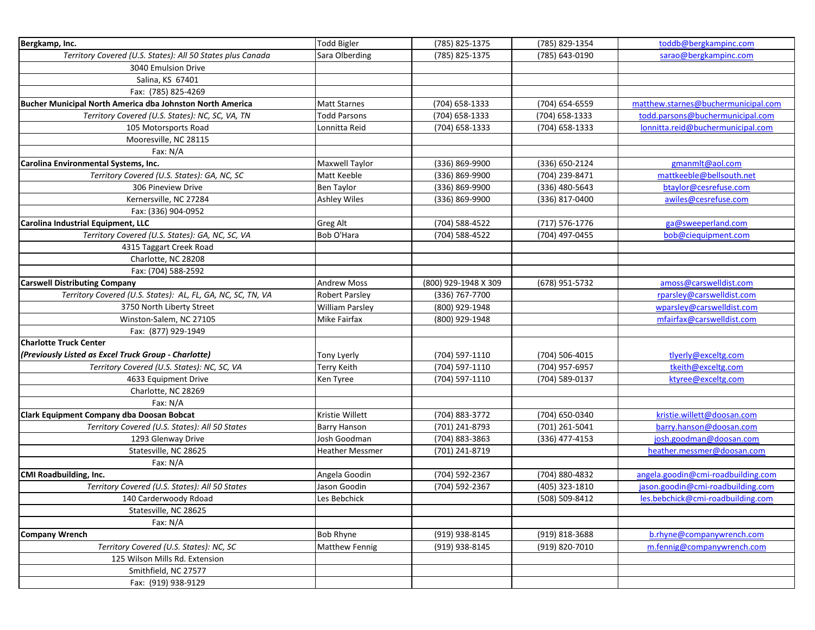| Bergkamp, Inc.                                                          | <b>Todd Bigler</b>            | (785) 825-1375       | (785) 829-1354 | toddb@bergkampinc.com                                                  |
|-------------------------------------------------------------------------|-------------------------------|----------------------|----------------|------------------------------------------------------------------------|
| Territory Covered (U.S. States): All 50 States plus Canada              | Sara Olberding                | (785) 825-1375       | (785) 643-0190 | sarao@bergkampinc.com                                                  |
| 3040 Emulsion Drive                                                     |                               |                      |                |                                                                        |
| Salina, KS 67401                                                        |                               |                      |                |                                                                        |
| Fax: (785) 825-4269                                                     |                               |                      |                |                                                                        |
| Bucher Municipal North America dba Johnston North America               | <b>Matt Starnes</b>           | (704) 658-1333       | (704) 654-6559 | matthew.starnes@buchermunicipal.com                                    |
| Territory Covered (U.S. States): NC, SC, VA, TN                         | Todd Parsons                  | (704) 658-1333       | (704) 658-1333 | todd.parsons@buchermunicipal.com                                       |
| 105 Motorsports Road                                                    | Lonnitta Reid                 | (704) 658-1333       | (704) 658-1333 | lonnitta.reid@buchermunicipal.com                                      |
| Mooresville, NC 28115                                                   |                               |                      |                |                                                                        |
| Fax: N/A                                                                |                               |                      |                |                                                                        |
| Carolina Environmental Systems, Inc.                                    | Maxwell Taylor                | (336) 869-9900       | (336) 650-2124 | gmanmlt@aol.com                                                        |
| Territory Covered (U.S. States): GA, NC, SC                             | Matt Keeble                   | (336) 869-9900       | (704) 239-8471 | mattkeeble@bellsouth.net                                               |
| 306 Pineview Drive                                                      | <b>Ben Taylor</b>             | (336) 869-9900       | (336) 480-5643 | btaylor@cesrefuse.com                                                  |
| Kernersville, NC 27284                                                  | <b>Ashley Wiles</b>           | (336) 869-9900       | (336) 817-0400 | awiles@cesrefuse.com                                                   |
| Fax: (336) 904-0952                                                     |                               |                      |                |                                                                        |
| Carolina Industrial Equipment, LLC                                      | Greg Alt                      | (704) 588-4522       | (717) 576-1776 | ga@sweeperland.com                                                     |
| Territory Covered (U.S. States): GA, NC, SC, VA                         | Bob O'Hara                    | (704) 588-4522       | (704) 497-0455 | bob@ciequipment.com                                                    |
| 4315 Taggart Creek Road                                                 |                               |                      |                |                                                                        |
| Charlotte, NC 28208                                                     |                               |                      |                |                                                                        |
| Fax: (704) 588-2592                                                     |                               |                      |                |                                                                        |
| <b>Carswell Distributing Company</b>                                    | Andrew Moss                   | (800) 929-1948 X 309 | (678) 951-5732 | amoss@carswelldist.com                                                 |
| Territory Covered (U.S. States): AL, FL, GA, NC, SC, TN, VA             | <b>Robert Parsley</b>         | (336) 767-7700       |                | rparsley@carswelldist.com                                              |
| 3750 North Liberty Street                                               | <b>William Parsley</b>        | (800) 929-1948       |                | wparsley@carswelldist.com                                              |
| Winston-Salem, NC 27105                                                 | Mike Fairfax                  | (800) 929-1948       |                | mfairfax@carswelldist.com                                              |
| Fax: (877) 929-1949                                                     |                               |                      |                |                                                                        |
| <b>Charlotte Truck Center</b>                                           |                               |                      |                |                                                                        |
| (Previously Listed as Excel Truck Group - Charlotte)                    | Tony Lyerly                   | (704) 597-1110       | (704) 506-4015 | tlyerly@exceltg.com                                                    |
| Territory Covered (U.S. States): NC, SC, VA                             | Terry Keith                   | (704) 597-1110       | (704) 957-6957 | tkeith@exceltg.com                                                     |
| 4633 Equipment Drive                                                    | Ken Tyree                     | (704) 597-1110       | (704) 589-0137 | ktyree@exceltg.com                                                     |
| Charlotte, NC 28269                                                     |                               |                      |                |                                                                        |
| Fax: N/A                                                                |                               |                      |                |                                                                        |
| Clark Equipment Company dba Doosan Bobcat                               | Kristie Willett               | (704) 883-3772       | (704) 650-0340 | kristie.willett@doosan.com                                             |
| Territory Covered (U.S. States): All 50 States                          | <b>Barry Hanson</b>           | (701) 241-8793       | (701) 261-5041 | barry.hanson@doosan.com                                                |
| 1293 Glenway Drive                                                      | Josh Goodman                  | (704) 883-3863       | (336) 477-4153 | josh.goodman@doosan.com                                                |
| Statesville, NC 28625                                                   | <b>Heather Messmer</b>        | (701) 241-8719       |                | heather.messmer@doosan.com                                             |
| Fax: N/A                                                                |                               |                      |                |                                                                        |
| CMI Roadbuilding, Inc.                                                  |                               | (704) 592-2367       | (704) 880-4832 | angela.goodin@cmi-roadbuilding.com                                     |
|                                                                         | Angela Goodin<br>Jason Goodin |                      |                |                                                                        |
| Territory Covered (U.S. States): All 50 States<br>140 Carderwoody Rdoad | Les Bebchick                  | (704) 592-2367       | (405) 323-1810 | jason.goodin@cmi-roadbuilding.com<br>les.bebchick@cmi-roadbuilding.com |
|                                                                         |                               |                      | (508) 509-8412 |                                                                        |
| Statesville, NC 28625                                                   |                               |                      |                |                                                                        |
| Fax: N/A                                                                |                               |                      |                |                                                                        |
| <b>Company Wrench</b>                                                   | <b>Bob Rhyne</b>              | (919) 938-8145       | (919) 818-3688 | b.rhyne@companywrench.com                                              |
| Territory Covered (U.S. States): NC, SC                                 | Matthew Fennig                | (919) 938-8145       | (919) 820-7010 | m.fennig@companywrench.com                                             |
| 125 Wilson Mills Rd. Extension                                          |                               |                      |                |                                                                        |
| Smithfield, NC 27577                                                    |                               |                      |                |                                                                        |
| Fax: (919) 938-9129                                                     |                               |                      |                |                                                                        |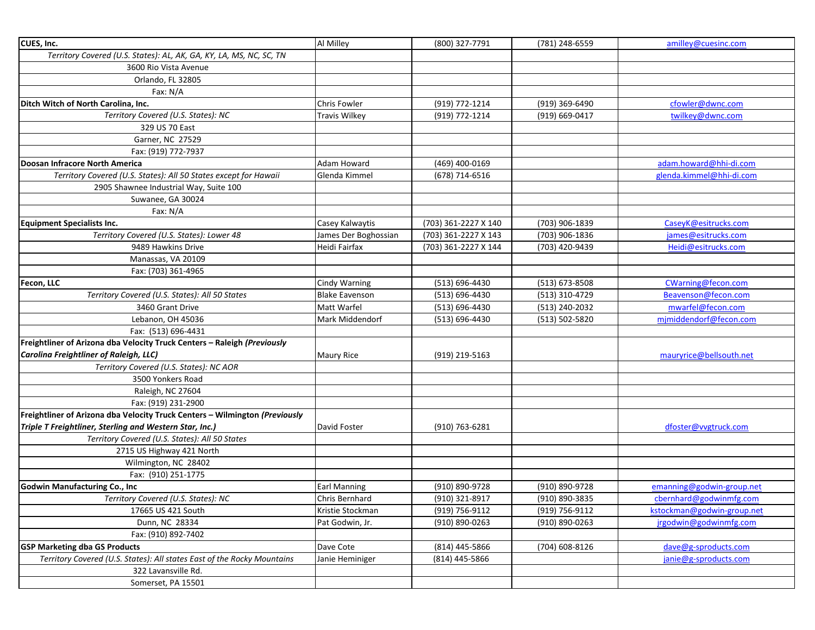| CUES, Inc.                                                                  | Al Milley             | (800) 327-7791       | (781) 248-6559 | amilley@cuesinc.com        |
|-----------------------------------------------------------------------------|-----------------------|----------------------|----------------|----------------------------|
| Territory Covered (U.S. States): AL, AK, GA, KY, LA, MS, NC, SC, TN         |                       |                      |                |                            |
| 3600 Rio Vista Avenue                                                       |                       |                      |                |                            |
| Orlando, FL 32805                                                           |                       |                      |                |                            |
| Fax: N/A                                                                    |                       |                      |                |                            |
| Ditch Witch of North Carolina, Inc.                                         | Chris Fowler          | (919) 772-1214       | (919) 369-6490 | cfowler@dwnc.com           |
| Territory Covered (U.S. States): NC                                         | <b>Travis Wilkey</b>  | (919) 772-1214       | (919) 669-0417 | twilkey@dwnc.com           |
| 329 US 70 East                                                              |                       |                      |                |                            |
| Garner, NC 27529                                                            |                       |                      |                |                            |
| Fax: (919) 772-7937                                                         |                       |                      |                |                            |
| Doosan Infracore North America                                              | Adam Howard           | (469) 400-0169       |                | adam.howard@hhi-di.com     |
| Territory Covered (U.S. States): All 50 States except for Hawaii            | Glenda Kimmel         | (678) 714-6516       |                | glenda.kimmel@hhi-di.com   |
| 2905 Shawnee Industrial Way, Suite 100                                      |                       |                      |                |                            |
| Suwanee, GA 30024                                                           |                       |                      |                |                            |
| Fax: N/A                                                                    |                       |                      |                |                            |
| <b>Equipment Specialists Inc.</b>                                           | Casey Kalwaytis       | (703) 361-2227 X 140 | (703) 906-1839 | CaseyK@esitrucks.com       |
| Territory Covered (U.S. States): Lower 48                                   | James Der Boghossian  | (703) 361-2227 X 143 | (703) 906-1836 | james@esitrucks.com        |
| 9489 Hawkins Drive                                                          | Heidi Fairfax         | (703) 361-2227 X 144 | (703) 420-9439 | Heidi@esitrucks.com        |
| Manassas, VA 20109                                                          |                       |                      |                |                            |
| Fax: (703) 361-4965                                                         |                       |                      |                |                            |
| Fecon, LLC                                                                  | Cindy Warning         | (513) 696-4430       | (513) 673-8508 | CWarning@fecon.com         |
| Territory Covered (U.S. States): All 50 States                              | <b>Blake Eavenson</b> | (513) 696-4430       | (513) 310-4729 | Beavenson@fecon.com        |
| 3460 Grant Drive                                                            | Matt Warfel           | (513) 696-4430       | (513) 240-2032 | mwarfel@fecon.com          |
| Lebanon, OH 45036                                                           | Mark Middendorf       | (513) 696-4430       | (513) 502-5820 | mjmiddendorf@fecon.com     |
| Fax: (513) 696-4431                                                         |                       |                      |                |                            |
| Freightliner of Arizona dba Velocity Truck Centers - Raleigh (Previously    |                       |                      |                |                            |
| Carolina Freightliner of Raleigh, LLC)                                      | <b>Maury Rice</b>     | (919) 219-5163       |                | mauryrice@bellsouth.net    |
| Territory Covered (U.S. States): NC AOR                                     |                       |                      |                |                            |
| 3500 Yonkers Road                                                           |                       |                      |                |                            |
| Raleigh, NC 27604                                                           |                       |                      |                |                            |
| Fax: (919) 231-2900                                                         |                       |                      |                |                            |
| Freightliner of Arizona dba Velocity Truck Centers - Wilmington (Previously |                       |                      |                |                            |
| Triple T Freightliner, Sterling and Western Star, Inc.)                     | David Foster          | (910) 763-6281       |                | dfoster@vvgtruck.com       |
| Territory Covered (U.S. States): All 50 States                              |                       |                      |                |                            |
| 2715 US Highway 421 North                                                   |                       |                      |                |                            |
| Wilmington, NC 28402                                                        |                       |                      |                |                            |
| Fax: (910) 251-1775                                                         |                       |                      |                |                            |
| <b>Godwin Manufacturing Co., Inc</b>                                        | <b>Earl Manning</b>   | (910) 890-9728       | (910) 890-9728 | emanning@godwin-group.net  |
| Territory Covered (U.S. States): NC                                         | Chris Bernhard        | (910) 321-8917       | (910) 890-3835 | cbernhard@godwinmfg.com    |
| 17665 US 421 South                                                          | Kristie Stockman      | (919) 756-9112       | (919) 756-9112 | kstockman@godwin-group.net |
| Dunn, NC 28334                                                              | Pat Godwin, Jr.       | (910) 890-0263       | (910) 890-0263 | jrgodwin@godwinmfg.com     |
| Fax: (910) 892-7402                                                         |                       |                      |                |                            |
| <b>GSP Marketing dba GS Products</b>                                        | Dave Cote             | (814) 445-5866       | (704) 608-8126 | dave@g-sproducts.com       |
| Territory Covered (U.S. States): All states East of the Rocky Mountains     | Janie Heminiger       | (814) 445-5866       |                | janie@g-sproducts.com      |
| 322 Lavansville Rd.                                                         |                       |                      |                |                            |
| Somerset, PA 15501                                                          |                       |                      |                |                            |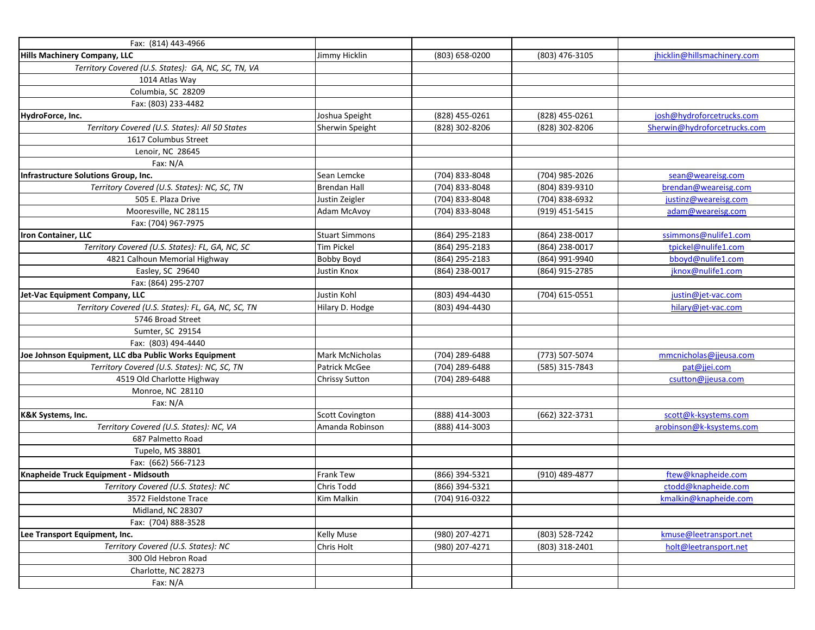| Fax: (814) 443-4966                                   |                        |                |                |                              |
|-------------------------------------------------------|------------------------|----------------|----------------|------------------------------|
| Hills Machinery Company, LLC                          | Jimmy Hicklin          | (803) 658-0200 | (803) 476-3105 | jhicklin@hillsmachinery.com  |
| Territory Covered (U.S. States): GA, NC, SC, TN, VA   |                        |                |                |                              |
| 1014 Atlas Way                                        |                        |                |                |                              |
| Columbia, SC 28209                                    |                        |                |                |                              |
| Fax: (803) 233-4482                                   |                        |                |                |                              |
| HydroForce, Inc.                                      | Joshua Speight         | (828) 455-0261 | (828) 455-0261 | josh@hydroforcetrucks.com    |
| Territory Covered (U.S. States): All 50 States        | Sherwin Speight        | (828) 302-8206 | (828) 302-8206 | Sherwin@hydroforcetrucks.com |
| 1617 Columbus Street                                  |                        |                |                |                              |
| Lenoir, NC 28645                                      |                        |                |                |                              |
| Fax: N/A                                              |                        |                |                |                              |
| Infrastructure Solutions Group, Inc.                  | Sean Lemcke            | (704) 833-8048 | (704) 985-2026 | sean@weareisg.com            |
| Territory Covered (U.S. States): NC, SC, TN           | <b>Brendan Hall</b>    | (704) 833-8048 | (804) 839-9310 | brendan@weareisg.com         |
| 505 E. Plaza Drive                                    | Justin Zeigler         | (704) 833-8048 | (704) 838-6932 | justinz@weareisg.com         |
| Mooresville, NC 28115                                 | Adam McAvoy            | (704) 833-8048 | (919) 451-5415 | adam@weareisg.com            |
| Fax: (704) 967-7975                                   |                        |                |                |                              |
| Iron Container, LLC                                   | <b>Stuart Simmons</b>  | (864) 295-2183 | (864) 238-0017 | ssimmons@nulife1.com         |
| Territory Covered (U.S. States): FL, GA, NC, SC       | Tim Pickel             | (864) 295-2183 | (864) 238-0017 | tpickel@nulife1.com          |
| 4821 Calhoun Memorial Highway                         | Bobby Boyd             | (864) 295-2183 | (864) 991-9940 | bboyd@nulife1.com            |
| Easley, SC 29640                                      | Justin Knox            | (864) 238-0017 | (864) 915-2785 | jknox@nulife1.com            |
| Fax: (864) 295-2707                                   |                        |                |                |                              |
| Jet-Vac Equipment Company, LLC                        | Justin Kohl            | (803) 494-4430 | (704) 615-0551 | justin@jet-vac.com           |
| Territory Covered (U.S. States): FL, GA, NC, SC, TN   | Hilary D. Hodge        | (803) 494-4430 |                | hilary@jet-vac.com           |
| 5746 Broad Street                                     |                        |                |                |                              |
| Sumter, SC 29154                                      |                        |                |                |                              |
| Fax: (803) 494-4440                                   |                        |                |                |                              |
| Joe Johnson Equipment, LLC dba Public Works Equipment | Mark McNicholas        | (704) 289-6488 | (773) 507-5074 | mmcnicholas@jjeusa.com       |
| Territory Covered (U.S. States): NC, SC, TN           | Patrick McGee          | (704) 289-6488 | (585) 315-7843 | pat@jjei.com                 |
| 4519 Old Charlotte Highway                            | <b>Chrissy Sutton</b>  | (704) 289-6488 |                | csutton@jjeusa.com           |
| Monroe, NC 28110                                      |                        |                |                |                              |
| Fax: N/A                                              |                        |                |                |                              |
| K&K Systems, Inc.                                     | <b>Scott Covington</b> | (888) 414-3003 | (662) 322-3731 | scott@k-ksystems.com         |
| Territory Covered (U.S. States): NC, VA               | Amanda Robinson        | (888) 414-3003 |                | arobinson@k-ksystems.com     |
| 687 Palmetto Road                                     |                        |                |                |                              |
| Tupelo, MS 38801                                      |                        |                |                |                              |
| Fax: (662) 566-7123                                   |                        |                |                |                              |
| Knapheide Truck Equipment - Midsouth                  | Frank Tew              | (866) 394-5321 | (910) 489-4877 | ftew@knapheide.com           |
| Territory Covered (U.S. States): NC                   | Chris Todd             | (866) 394-5321 |                | ctodd@knapheide.com          |
| 3572 Fieldstone Trace                                 | Kim Malkin             | (704) 916-0322 |                | kmalkin@knapheide.com        |
| Midland, NC 28307                                     |                        |                |                |                              |
| Fax: (704) 888-3528                                   |                        |                |                |                              |
| Lee Transport Equipment, Inc.                         | <b>Kelly Muse</b>      | (980) 207-4271 | (803) 528-7242 | kmuse@leetransport.net       |
| Territory Covered (U.S. States): NC                   | Chris Holt             | (980) 207-4271 | (803) 318-2401 | holt@leetransport.net        |
| 300 Old Hebron Road                                   |                        |                |                |                              |
| Charlotte, NC 28273                                   |                        |                |                |                              |
| Fax: N/A                                              |                        |                |                |                              |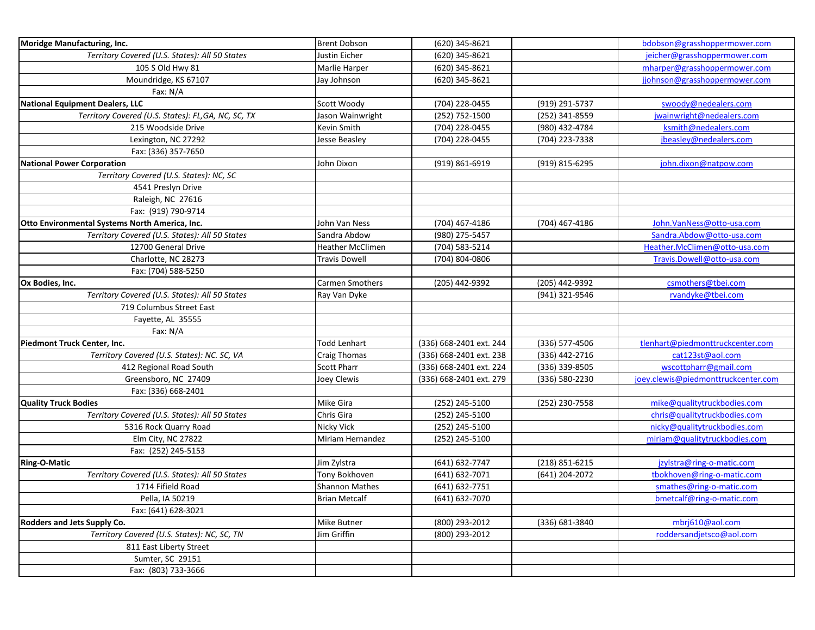| <b>Brent Dobson</b><br>(620) 345-8621<br>bdobson@grasshoppermower.com<br>Territory Covered (U.S. States): All 50 States<br>Justin Eicher<br>(620) 345-8621<br>jeicher@grasshoppermower.com<br>105 S Old Hwy 81<br>Marlie Harper<br>(620) 345-8621<br>mharper@grasshoppermower.com<br>Moundridge, KS 67107<br>jjohnson@grasshoppermower.com<br>(620) 345-8621<br>Jay Johnson<br>Fax: N/A<br>swoody@nedealers.com<br><b>National Equipment Dealers, LLC</b><br>Scott Woody<br>(704) 228-0455<br>(919) 291-5737<br>(252) 341-8559<br>Territory Covered (U.S. States): FL,GA, NC, SC, TX<br>Jason Wainwright<br>(252) 752-1500<br>jwainwright@nedealers.com<br>ksmith@nedealers.com<br>215 Woodside Drive<br>Kevin Smith<br>(704) 228-0455<br>(980) 432-4784<br>(704) 223-7338<br>jbeasley@nedealers.com<br>Lexington, NC 27292<br>Jesse Beasley<br>(704) 228-0455<br>Fax: (336) 357-7650<br><b>National Power Corporation</b><br>(919) 861-6919<br>(919) 815-6295<br>john.dixon@natpow.com<br>John Dixon<br>Territory Covered (U.S. States): NC, SC<br>4541 Preslyn Drive<br>Raleigh, NC 27616<br>Fax: (919) 790-9714<br>Otto Environmental Systems North America, Inc.<br>(704) 467-4186<br>(704) 467-4186<br>John.VanNess@otto-usa.com<br>John Van Ness<br>Territory Covered (U.S. States): All 50 States<br>Sandra.Abdow@otto-usa.com<br>Sandra Abdow<br>(980) 275-5457<br>12700 General Drive<br>Heather.McClimen@otto-usa.com<br><b>Heather McClimen</b><br>(704) 583-5214<br>Charlotte, NC 28273<br>(704) 804-0806<br>Travis.Dowell@otto-usa.com<br>Travis Dowell<br>Fax: (704) 588-5250<br>csmothers@tbei.com<br>(205) 442-9392<br>(205) 442-9392<br>Ox Bodies, Inc.<br>Carmen Smothers<br>Territory Covered (U.S. States): All 50 States<br>(941) 321-9546<br>rvandyke@tbei.com<br>Ray Van Dyke<br>719 Columbus Street East<br>Fayette, AL 35555<br>Fax: N/A<br>Piedmont Truck Center, Inc.<br>(336) 577-4506<br>tlenhart@piedmonttruckcenter.com<br>Todd Lenhart<br>(336) 668-2401 ext. 244<br>(336) 442-2716<br>cat123st@aol.com<br>Territory Covered (U.S. States): NC. SC, VA<br><b>Craig Thomas</b><br>(336) 668-2401 ext. 238<br>412 Regional Road South<br>(336) 668-2401 ext. 224<br>(336) 339-8505<br>wscottpharr@gmail.com<br><b>Scott Pharr</b><br>Greensboro, NC 27409<br>(336) 580-2230<br>joey.clewis@piedmonttruckcenter.com<br>Joey Clewis<br>(336) 668-2401 ext. 279<br>Fax: (336) 668-2401<br>mike@qualitytruckbodies.com<br><b>Quality Truck Bodies</b><br>Mike Gira<br>(252) 230-7558<br>(252) 245-5100<br>chris@qualitytruckbodies.com<br>Territory Covered (U.S. States): All 50 States<br>Chris Gira<br>(252) 245-5100<br>nicky@qualitytruckbodies.com<br>5316 Rock Quarry Road<br>Nicky Vick<br>(252) 245-5100<br>Elm City, NC 27822<br>Miriam Hernandez<br>miriam@qualitytruckbodies.com<br>(252) 245-5100<br>Fax: (252) 245-5153<br>Jim Zylstra<br>(641) 632-7747<br>(218) 851-6215<br>jzylstra@ring-o-matic.com<br><b>Ring-O-Matic</b><br>Territory Covered (U.S. States): All 50 States<br>(641) 632-7071<br>tbokhoven@ring-o-matic.com<br>Tony Bokhoven<br>(641) 204-2072<br>1714 Fifield Road<br><b>Shannon Mathes</b><br>(641) 632-7751<br>smathes@ring-o-matic.com<br>Pella, IA 50219<br><b>Brian Metcalf</b><br>(641) 632-7070<br>bmetcalf@ring-o-matic.com<br>Fax: (641) 628-3021<br>mbrj610@aol.com<br>(800) 293-2012<br>Rodders and Jets Supply Co.<br>Mike Butner<br>(336) 681-3840<br>Territory Covered (U.S. States): NC, SC, TN<br>Jim Griffin<br>roddersandjetsco@aol.com<br>(800) 293-2012<br>811 East Liberty Street<br>Sumter, SC 29151<br>Fax: (803) 733-3666 |                             |  |  |
|-----------------------------------------------------------------------------------------------------------------------------------------------------------------------------------------------------------------------------------------------------------------------------------------------------------------------------------------------------------------------------------------------------------------------------------------------------------------------------------------------------------------------------------------------------------------------------------------------------------------------------------------------------------------------------------------------------------------------------------------------------------------------------------------------------------------------------------------------------------------------------------------------------------------------------------------------------------------------------------------------------------------------------------------------------------------------------------------------------------------------------------------------------------------------------------------------------------------------------------------------------------------------------------------------------------------------------------------------------------------------------------------------------------------------------------------------------------------------------------------------------------------------------------------------------------------------------------------------------------------------------------------------------------------------------------------------------------------------------------------------------------------------------------------------------------------------------------------------------------------------------------------------------------------------------------------------------------------------------------------------------------------------------------------------------------------------------------------------------------------------------------------------------------------------------------------------------------------------------------------------------------------------------------------------------------------------------------------------------------------------------------------------------------------------------------------------------------------------------------------------------------------------------------------------------------------------------------------------------------------------------------------------------------------------------------------------------------------------------------------------------------------------------------------------------------------------------------------------------------------------------------------------------------------------------------------------------------------------------------------------------------------------------------------------------------------------------------------------------------------------------------------------------------------------------------------------------------------------------------------------------------------------------------------------------------------------------------------------------------------------------------------------------------------------------------------------------------------------------------------------------------------------------------------------------------------------------------------------------------------|-----------------------------|--|--|
|                                                                                                                                                                                                                                                                                                                                                                                                                                                                                                                                                                                                                                                                                                                                                                                                                                                                                                                                                                                                                                                                                                                                                                                                                                                                                                                                                                                                                                                                                                                                                                                                                                                                                                                                                                                                                                                                                                                                                                                                                                                                                                                                                                                                                                                                                                                                                                                                                                                                                                                                                                                                                                                                                                                                                                                                                                                                                                                                                                                                                                                                                                                                                                                                                                                                                                                                                                                                                                                                                                                                                                                                                 | Moridge Manufacturing, Inc. |  |  |
|                                                                                                                                                                                                                                                                                                                                                                                                                                                                                                                                                                                                                                                                                                                                                                                                                                                                                                                                                                                                                                                                                                                                                                                                                                                                                                                                                                                                                                                                                                                                                                                                                                                                                                                                                                                                                                                                                                                                                                                                                                                                                                                                                                                                                                                                                                                                                                                                                                                                                                                                                                                                                                                                                                                                                                                                                                                                                                                                                                                                                                                                                                                                                                                                                                                                                                                                                                                                                                                                                                                                                                                                                 |                             |  |  |
|                                                                                                                                                                                                                                                                                                                                                                                                                                                                                                                                                                                                                                                                                                                                                                                                                                                                                                                                                                                                                                                                                                                                                                                                                                                                                                                                                                                                                                                                                                                                                                                                                                                                                                                                                                                                                                                                                                                                                                                                                                                                                                                                                                                                                                                                                                                                                                                                                                                                                                                                                                                                                                                                                                                                                                                                                                                                                                                                                                                                                                                                                                                                                                                                                                                                                                                                                                                                                                                                                                                                                                                                                 |                             |  |  |
|                                                                                                                                                                                                                                                                                                                                                                                                                                                                                                                                                                                                                                                                                                                                                                                                                                                                                                                                                                                                                                                                                                                                                                                                                                                                                                                                                                                                                                                                                                                                                                                                                                                                                                                                                                                                                                                                                                                                                                                                                                                                                                                                                                                                                                                                                                                                                                                                                                                                                                                                                                                                                                                                                                                                                                                                                                                                                                                                                                                                                                                                                                                                                                                                                                                                                                                                                                                                                                                                                                                                                                                                                 |                             |  |  |
|                                                                                                                                                                                                                                                                                                                                                                                                                                                                                                                                                                                                                                                                                                                                                                                                                                                                                                                                                                                                                                                                                                                                                                                                                                                                                                                                                                                                                                                                                                                                                                                                                                                                                                                                                                                                                                                                                                                                                                                                                                                                                                                                                                                                                                                                                                                                                                                                                                                                                                                                                                                                                                                                                                                                                                                                                                                                                                                                                                                                                                                                                                                                                                                                                                                                                                                                                                                                                                                                                                                                                                                                                 |                             |  |  |
|                                                                                                                                                                                                                                                                                                                                                                                                                                                                                                                                                                                                                                                                                                                                                                                                                                                                                                                                                                                                                                                                                                                                                                                                                                                                                                                                                                                                                                                                                                                                                                                                                                                                                                                                                                                                                                                                                                                                                                                                                                                                                                                                                                                                                                                                                                                                                                                                                                                                                                                                                                                                                                                                                                                                                                                                                                                                                                                                                                                                                                                                                                                                                                                                                                                                                                                                                                                                                                                                                                                                                                                                                 |                             |  |  |
|                                                                                                                                                                                                                                                                                                                                                                                                                                                                                                                                                                                                                                                                                                                                                                                                                                                                                                                                                                                                                                                                                                                                                                                                                                                                                                                                                                                                                                                                                                                                                                                                                                                                                                                                                                                                                                                                                                                                                                                                                                                                                                                                                                                                                                                                                                                                                                                                                                                                                                                                                                                                                                                                                                                                                                                                                                                                                                                                                                                                                                                                                                                                                                                                                                                                                                                                                                                                                                                                                                                                                                                                                 |                             |  |  |
|                                                                                                                                                                                                                                                                                                                                                                                                                                                                                                                                                                                                                                                                                                                                                                                                                                                                                                                                                                                                                                                                                                                                                                                                                                                                                                                                                                                                                                                                                                                                                                                                                                                                                                                                                                                                                                                                                                                                                                                                                                                                                                                                                                                                                                                                                                                                                                                                                                                                                                                                                                                                                                                                                                                                                                                                                                                                                                                                                                                                                                                                                                                                                                                                                                                                                                                                                                                                                                                                                                                                                                                                                 |                             |  |  |
|                                                                                                                                                                                                                                                                                                                                                                                                                                                                                                                                                                                                                                                                                                                                                                                                                                                                                                                                                                                                                                                                                                                                                                                                                                                                                                                                                                                                                                                                                                                                                                                                                                                                                                                                                                                                                                                                                                                                                                                                                                                                                                                                                                                                                                                                                                                                                                                                                                                                                                                                                                                                                                                                                                                                                                                                                                                                                                                                                                                                                                                                                                                                                                                                                                                                                                                                                                                                                                                                                                                                                                                                                 |                             |  |  |
|                                                                                                                                                                                                                                                                                                                                                                                                                                                                                                                                                                                                                                                                                                                                                                                                                                                                                                                                                                                                                                                                                                                                                                                                                                                                                                                                                                                                                                                                                                                                                                                                                                                                                                                                                                                                                                                                                                                                                                                                                                                                                                                                                                                                                                                                                                                                                                                                                                                                                                                                                                                                                                                                                                                                                                                                                                                                                                                                                                                                                                                                                                                                                                                                                                                                                                                                                                                                                                                                                                                                                                                                                 |                             |  |  |
|                                                                                                                                                                                                                                                                                                                                                                                                                                                                                                                                                                                                                                                                                                                                                                                                                                                                                                                                                                                                                                                                                                                                                                                                                                                                                                                                                                                                                                                                                                                                                                                                                                                                                                                                                                                                                                                                                                                                                                                                                                                                                                                                                                                                                                                                                                                                                                                                                                                                                                                                                                                                                                                                                                                                                                                                                                                                                                                                                                                                                                                                                                                                                                                                                                                                                                                                                                                                                                                                                                                                                                                                                 |                             |  |  |
|                                                                                                                                                                                                                                                                                                                                                                                                                                                                                                                                                                                                                                                                                                                                                                                                                                                                                                                                                                                                                                                                                                                                                                                                                                                                                                                                                                                                                                                                                                                                                                                                                                                                                                                                                                                                                                                                                                                                                                                                                                                                                                                                                                                                                                                                                                                                                                                                                                                                                                                                                                                                                                                                                                                                                                                                                                                                                                                                                                                                                                                                                                                                                                                                                                                                                                                                                                                                                                                                                                                                                                                                                 |                             |  |  |
|                                                                                                                                                                                                                                                                                                                                                                                                                                                                                                                                                                                                                                                                                                                                                                                                                                                                                                                                                                                                                                                                                                                                                                                                                                                                                                                                                                                                                                                                                                                                                                                                                                                                                                                                                                                                                                                                                                                                                                                                                                                                                                                                                                                                                                                                                                                                                                                                                                                                                                                                                                                                                                                                                                                                                                                                                                                                                                                                                                                                                                                                                                                                                                                                                                                                                                                                                                                                                                                                                                                                                                                                                 |                             |  |  |
|                                                                                                                                                                                                                                                                                                                                                                                                                                                                                                                                                                                                                                                                                                                                                                                                                                                                                                                                                                                                                                                                                                                                                                                                                                                                                                                                                                                                                                                                                                                                                                                                                                                                                                                                                                                                                                                                                                                                                                                                                                                                                                                                                                                                                                                                                                                                                                                                                                                                                                                                                                                                                                                                                                                                                                                                                                                                                                                                                                                                                                                                                                                                                                                                                                                                                                                                                                                                                                                                                                                                                                                                                 |                             |  |  |
|                                                                                                                                                                                                                                                                                                                                                                                                                                                                                                                                                                                                                                                                                                                                                                                                                                                                                                                                                                                                                                                                                                                                                                                                                                                                                                                                                                                                                                                                                                                                                                                                                                                                                                                                                                                                                                                                                                                                                                                                                                                                                                                                                                                                                                                                                                                                                                                                                                                                                                                                                                                                                                                                                                                                                                                                                                                                                                                                                                                                                                                                                                                                                                                                                                                                                                                                                                                                                                                                                                                                                                                                                 |                             |  |  |
|                                                                                                                                                                                                                                                                                                                                                                                                                                                                                                                                                                                                                                                                                                                                                                                                                                                                                                                                                                                                                                                                                                                                                                                                                                                                                                                                                                                                                                                                                                                                                                                                                                                                                                                                                                                                                                                                                                                                                                                                                                                                                                                                                                                                                                                                                                                                                                                                                                                                                                                                                                                                                                                                                                                                                                                                                                                                                                                                                                                                                                                                                                                                                                                                                                                                                                                                                                                                                                                                                                                                                                                                                 |                             |  |  |
|                                                                                                                                                                                                                                                                                                                                                                                                                                                                                                                                                                                                                                                                                                                                                                                                                                                                                                                                                                                                                                                                                                                                                                                                                                                                                                                                                                                                                                                                                                                                                                                                                                                                                                                                                                                                                                                                                                                                                                                                                                                                                                                                                                                                                                                                                                                                                                                                                                                                                                                                                                                                                                                                                                                                                                                                                                                                                                                                                                                                                                                                                                                                                                                                                                                                                                                                                                                                                                                                                                                                                                                                                 |                             |  |  |
|                                                                                                                                                                                                                                                                                                                                                                                                                                                                                                                                                                                                                                                                                                                                                                                                                                                                                                                                                                                                                                                                                                                                                                                                                                                                                                                                                                                                                                                                                                                                                                                                                                                                                                                                                                                                                                                                                                                                                                                                                                                                                                                                                                                                                                                                                                                                                                                                                                                                                                                                                                                                                                                                                                                                                                                                                                                                                                                                                                                                                                                                                                                                                                                                                                                                                                                                                                                                                                                                                                                                                                                                                 |                             |  |  |
|                                                                                                                                                                                                                                                                                                                                                                                                                                                                                                                                                                                                                                                                                                                                                                                                                                                                                                                                                                                                                                                                                                                                                                                                                                                                                                                                                                                                                                                                                                                                                                                                                                                                                                                                                                                                                                                                                                                                                                                                                                                                                                                                                                                                                                                                                                                                                                                                                                                                                                                                                                                                                                                                                                                                                                                                                                                                                                                                                                                                                                                                                                                                                                                                                                                                                                                                                                                                                                                                                                                                                                                                                 |                             |  |  |
|                                                                                                                                                                                                                                                                                                                                                                                                                                                                                                                                                                                                                                                                                                                                                                                                                                                                                                                                                                                                                                                                                                                                                                                                                                                                                                                                                                                                                                                                                                                                                                                                                                                                                                                                                                                                                                                                                                                                                                                                                                                                                                                                                                                                                                                                                                                                                                                                                                                                                                                                                                                                                                                                                                                                                                                                                                                                                                                                                                                                                                                                                                                                                                                                                                                                                                                                                                                                                                                                                                                                                                                                                 |                             |  |  |
|                                                                                                                                                                                                                                                                                                                                                                                                                                                                                                                                                                                                                                                                                                                                                                                                                                                                                                                                                                                                                                                                                                                                                                                                                                                                                                                                                                                                                                                                                                                                                                                                                                                                                                                                                                                                                                                                                                                                                                                                                                                                                                                                                                                                                                                                                                                                                                                                                                                                                                                                                                                                                                                                                                                                                                                                                                                                                                                                                                                                                                                                                                                                                                                                                                                                                                                                                                                                                                                                                                                                                                                                                 |                             |  |  |
|                                                                                                                                                                                                                                                                                                                                                                                                                                                                                                                                                                                                                                                                                                                                                                                                                                                                                                                                                                                                                                                                                                                                                                                                                                                                                                                                                                                                                                                                                                                                                                                                                                                                                                                                                                                                                                                                                                                                                                                                                                                                                                                                                                                                                                                                                                                                                                                                                                                                                                                                                                                                                                                                                                                                                                                                                                                                                                                                                                                                                                                                                                                                                                                                                                                                                                                                                                                                                                                                                                                                                                                                                 |                             |  |  |
|                                                                                                                                                                                                                                                                                                                                                                                                                                                                                                                                                                                                                                                                                                                                                                                                                                                                                                                                                                                                                                                                                                                                                                                                                                                                                                                                                                                                                                                                                                                                                                                                                                                                                                                                                                                                                                                                                                                                                                                                                                                                                                                                                                                                                                                                                                                                                                                                                                                                                                                                                                                                                                                                                                                                                                                                                                                                                                                                                                                                                                                                                                                                                                                                                                                                                                                                                                                                                                                                                                                                                                                                                 |                             |  |  |
|                                                                                                                                                                                                                                                                                                                                                                                                                                                                                                                                                                                                                                                                                                                                                                                                                                                                                                                                                                                                                                                                                                                                                                                                                                                                                                                                                                                                                                                                                                                                                                                                                                                                                                                                                                                                                                                                                                                                                                                                                                                                                                                                                                                                                                                                                                                                                                                                                                                                                                                                                                                                                                                                                                                                                                                                                                                                                                                                                                                                                                                                                                                                                                                                                                                                                                                                                                                                                                                                                                                                                                                                                 |                             |  |  |
|                                                                                                                                                                                                                                                                                                                                                                                                                                                                                                                                                                                                                                                                                                                                                                                                                                                                                                                                                                                                                                                                                                                                                                                                                                                                                                                                                                                                                                                                                                                                                                                                                                                                                                                                                                                                                                                                                                                                                                                                                                                                                                                                                                                                                                                                                                                                                                                                                                                                                                                                                                                                                                                                                                                                                                                                                                                                                                                                                                                                                                                                                                                                                                                                                                                                                                                                                                                                                                                                                                                                                                                                                 |                             |  |  |
|                                                                                                                                                                                                                                                                                                                                                                                                                                                                                                                                                                                                                                                                                                                                                                                                                                                                                                                                                                                                                                                                                                                                                                                                                                                                                                                                                                                                                                                                                                                                                                                                                                                                                                                                                                                                                                                                                                                                                                                                                                                                                                                                                                                                                                                                                                                                                                                                                                                                                                                                                                                                                                                                                                                                                                                                                                                                                                                                                                                                                                                                                                                                                                                                                                                                                                                                                                                                                                                                                                                                                                                                                 |                             |  |  |
|                                                                                                                                                                                                                                                                                                                                                                                                                                                                                                                                                                                                                                                                                                                                                                                                                                                                                                                                                                                                                                                                                                                                                                                                                                                                                                                                                                                                                                                                                                                                                                                                                                                                                                                                                                                                                                                                                                                                                                                                                                                                                                                                                                                                                                                                                                                                                                                                                                                                                                                                                                                                                                                                                                                                                                                                                                                                                                                                                                                                                                                                                                                                                                                                                                                                                                                                                                                                                                                                                                                                                                                                                 |                             |  |  |
|                                                                                                                                                                                                                                                                                                                                                                                                                                                                                                                                                                                                                                                                                                                                                                                                                                                                                                                                                                                                                                                                                                                                                                                                                                                                                                                                                                                                                                                                                                                                                                                                                                                                                                                                                                                                                                                                                                                                                                                                                                                                                                                                                                                                                                                                                                                                                                                                                                                                                                                                                                                                                                                                                                                                                                                                                                                                                                                                                                                                                                                                                                                                                                                                                                                                                                                                                                                                                                                                                                                                                                                                                 |                             |  |  |
|                                                                                                                                                                                                                                                                                                                                                                                                                                                                                                                                                                                                                                                                                                                                                                                                                                                                                                                                                                                                                                                                                                                                                                                                                                                                                                                                                                                                                                                                                                                                                                                                                                                                                                                                                                                                                                                                                                                                                                                                                                                                                                                                                                                                                                                                                                                                                                                                                                                                                                                                                                                                                                                                                                                                                                                                                                                                                                                                                                                                                                                                                                                                                                                                                                                                                                                                                                                                                                                                                                                                                                                                                 |                             |  |  |
|                                                                                                                                                                                                                                                                                                                                                                                                                                                                                                                                                                                                                                                                                                                                                                                                                                                                                                                                                                                                                                                                                                                                                                                                                                                                                                                                                                                                                                                                                                                                                                                                                                                                                                                                                                                                                                                                                                                                                                                                                                                                                                                                                                                                                                                                                                                                                                                                                                                                                                                                                                                                                                                                                                                                                                                                                                                                                                                                                                                                                                                                                                                                                                                                                                                                                                                                                                                                                                                                                                                                                                                                                 |                             |  |  |
|                                                                                                                                                                                                                                                                                                                                                                                                                                                                                                                                                                                                                                                                                                                                                                                                                                                                                                                                                                                                                                                                                                                                                                                                                                                                                                                                                                                                                                                                                                                                                                                                                                                                                                                                                                                                                                                                                                                                                                                                                                                                                                                                                                                                                                                                                                                                                                                                                                                                                                                                                                                                                                                                                                                                                                                                                                                                                                                                                                                                                                                                                                                                                                                                                                                                                                                                                                                                                                                                                                                                                                                                                 |                             |  |  |
|                                                                                                                                                                                                                                                                                                                                                                                                                                                                                                                                                                                                                                                                                                                                                                                                                                                                                                                                                                                                                                                                                                                                                                                                                                                                                                                                                                                                                                                                                                                                                                                                                                                                                                                                                                                                                                                                                                                                                                                                                                                                                                                                                                                                                                                                                                                                                                                                                                                                                                                                                                                                                                                                                                                                                                                                                                                                                                                                                                                                                                                                                                                                                                                                                                                                                                                                                                                                                                                                                                                                                                                                                 |                             |  |  |
|                                                                                                                                                                                                                                                                                                                                                                                                                                                                                                                                                                                                                                                                                                                                                                                                                                                                                                                                                                                                                                                                                                                                                                                                                                                                                                                                                                                                                                                                                                                                                                                                                                                                                                                                                                                                                                                                                                                                                                                                                                                                                                                                                                                                                                                                                                                                                                                                                                                                                                                                                                                                                                                                                                                                                                                                                                                                                                                                                                                                                                                                                                                                                                                                                                                                                                                                                                                                                                                                                                                                                                                                                 |                             |  |  |
|                                                                                                                                                                                                                                                                                                                                                                                                                                                                                                                                                                                                                                                                                                                                                                                                                                                                                                                                                                                                                                                                                                                                                                                                                                                                                                                                                                                                                                                                                                                                                                                                                                                                                                                                                                                                                                                                                                                                                                                                                                                                                                                                                                                                                                                                                                                                                                                                                                                                                                                                                                                                                                                                                                                                                                                                                                                                                                                                                                                                                                                                                                                                                                                                                                                                                                                                                                                                                                                                                                                                                                                                                 |                             |  |  |
|                                                                                                                                                                                                                                                                                                                                                                                                                                                                                                                                                                                                                                                                                                                                                                                                                                                                                                                                                                                                                                                                                                                                                                                                                                                                                                                                                                                                                                                                                                                                                                                                                                                                                                                                                                                                                                                                                                                                                                                                                                                                                                                                                                                                                                                                                                                                                                                                                                                                                                                                                                                                                                                                                                                                                                                                                                                                                                                                                                                                                                                                                                                                                                                                                                                                                                                                                                                                                                                                                                                                                                                                                 |                             |  |  |
|                                                                                                                                                                                                                                                                                                                                                                                                                                                                                                                                                                                                                                                                                                                                                                                                                                                                                                                                                                                                                                                                                                                                                                                                                                                                                                                                                                                                                                                                                                                                                                                                                                                                                                                                                                                                                                                                                                                                                                                                                                                                                                                                                                                                                                                                                                                                                                                                                                                                                                                                                                                                                                                                                                                                                                                                                                                                                                                                                                                                                                                                                                                                                                                                                                                                                                                                                                                                                                                                                                                                                                                                                 |                             |  |  |
|                                                                                                                                                                                                                                                                                                                                                                                                                                                                                                                                                                                                                                                                                                                                                                                                                                                                                                                                                                                                                                                                                                                                                                                                                                                                                                                                                                                                                                                                                                                                                                                                                                                                                                                                                                                                                                                                                                                                                                                                                                                                                                                                                                                                                                                                                                                                                                                                                                                                                                                                                                                                                                                                                                                                                                                                                                                                                                                                                                                                                                                                                                                                                                                                                                                                                                                                                                                                                                                                                                                                                                                                                 |                             |  |  |
|                                                                                                                                                                                                                                                                                                                                                                                                                                                                                                                                                                                                                                                                                                                                                                                                                                                                                                                                                                                                                                                                                                                                                                                                                                                                                                                                                                                                                                                                                                                                                                                                                                                                                                                                                                                                                                                                                                                                                                                                                                                                                                                                                                                                                                                                                                                                                                                                                                                                                                                                                                                                                                                                                                                                                                                                                                                                                                                                                                                                                                                                                                                                                                                                                                                                                                                                                                                                                                                                                                                                                                                                                 |                             |  |  |
|                                                                                                                                                                                                                                                                                                                                                                                                                                                                                                                                                                                                                                                                                                                                                                                                                                                                                                                                                                                                                                                                                                                                                                                                                                                                                                                                                                                                                                                                                                                                                                                                                                                                                                                                                                                                                                                                                                                                                                                                                                                                                                                                                                                                                                                                                                                                                                                                                                                                                                                                                                                                                                                                                                                                                                                                                                                                                                                                                                                                                                                                                                                                                                                                                                                                                                                                                                                                                                                                                                                                                                                                                 |                             |  |  |
|                                                                                                                                                                                                                                                                                                                                                                                                                                                                                                                                                                                                                                                                                                                                                                                                                                                                                                                                                                                                                                                                                                                                                                                                                                                                                                                                                                                                                                                                                                                                                                                                                                                                                                                                                                                                                                                                                                                                                                                                                                                                                                                                                                                                                                                                                                                                                                                                                                                                                                                                                                                                                                                                                                                                                                                                                                                                                                                                                                                                                                                                                                                                                                                                                                                                                                                                                                                                                                                                                                                                                                                                                 |                             |  |  |
|                                                                                                                                                                                                                                                                                                                                                                                                                                                                                                                                                                                                                                                                                                                                                                                                                                                                                                                                                                                                                                                                                                                                                                                                                                                                                                                                                                                                                                                                                                                                                                                                                                                                                                                                                                                                                                                                                                                                                                                                                                                                                                                                                                                                                                                                                                                                                                                                                                                                                                                                                                                                                                                                                                                                                                                                                                                                                                                                                                                                                                                                                                                                                                                                                                                                                                                                                                                                                                                                                                                                                                                                                 |                             |  |  |
|                                                                                                                                                                                                                                                                                                                                                                                                                                                                                                                                                                                                                                                                                                                                                                                                                                                                                                                                                                                                                                                                                                                                                                                                                                                                                                                                                                                                                                                                                                                                                                                                                                                                                                                                                                                                                                                                                                                                                                                                                                                                                                                                                                                                                                                                                                                                                                                                                                                                                                                                                                                                                                                                                                                                                                                                                                                                                                                                                                                                                                                                                                                                                                                                                                                                                                                                                                                                                                                                                                                                                                                                                 |                             |  |  |
|                                                                                                                                                                                                                                                                                                                                                                                                                                                                                                                                                                                                                                                                                                                                                                                                                                                                                                                                                                                                                                                                                                                                                                                                                                                                                                                                                                                                                                                                                                                                                                                                                                                                                                                                                                                                                                                                                                                                                                                                                                                                                                                                                                                                                                                                                                                                                                                                                                                                                                                                                                                                                                                                                                                                                                                                                                                                                                                                                                                                                                                                                                                                                                                                                                                                                                                                                                                                                                                                                                                                                                                                                 |                             |  |  |
|                                                                                                                                                                                                                                                                                                                                                                                                                                                                                                                                                                                                                                                                                                                                                                                                                                                                                                                                                                                                                                                                                                                                                                                                                                                                                                                                                                                                                                                                                                                                                                                                                                                                                                                                                                                                                                                                                                                                                                                                                                                                                                                                                                                                                                                                                                                                                                                                                                                                                                                                                                                                                                                                                                                                                                                                                                                                                                                                                                                                                                                                                                                                                                                                                                                                                                                                                                                                                                                                                                                                                                                                                 |                             |  |  |
|                                                                                                                                                                                                                                                                                                                                                                                                                                                                                                                                                                                                                                                                                                                                                                                                                                                                                                                                                                                                                                                                                                                                                                                                                                                                                                                                                                                                                                                                                                                                                                                                                                                                                                                                                                                                                                                                                                                                                                                                                                                                                                                                                                                                                                                                                                                                                                                                                                                                                                                                                                                                                                                                                                                                                                                                                                                                                                                                                                                                                                                                                                                                                                                                                                                                                                                                                                                                                                                                                                                                                                                                                 |                             |  |  |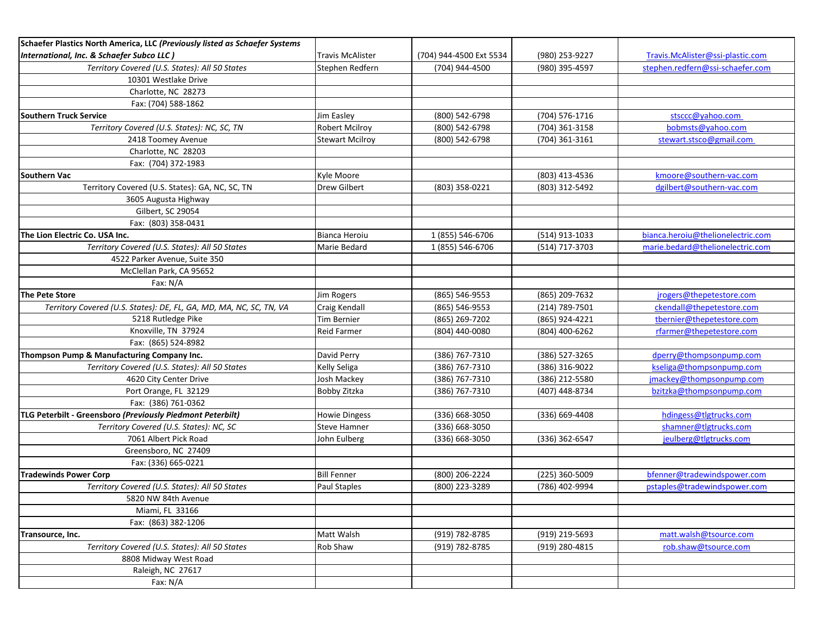| Schaefer Plastics North America, LLC (Previously listed as Schaefer Systems |                        |                         |                |                                   |
|-----------------------------------------------------------------------------|------------------------|-------------------------|----------------|-----------------------------------|
| International, Inc. & Schaefer Subco LLC)                                   | Travis McAlister       | (704) 944-4500 Ext 5534 | (980) 253-9227 | Travis.McAlister@ssi-plastic.com  |
| Territory Covered (U.S. States): All 50 States                              | Stephen Redfern        | (704) 944-4500          | (980) 395-4597 | stephen.redfern@ssi-schaefer.com  |
| 10301 Westlake Drive                                                        |                        |                         |                |                                   |
| Charlotte, NC 28273                                                         |                        |                         |                |                                   |
| Fax: (704) 588-1862                                                         |                        |                         |                |                                   |
| <b>Southern Truck Service</b>                                               | Jim Easley             | (800) 542-6798          | (704) 576-1716 | stsccc@yahoo.com                  |
| Territory Covered (U.S. States): NC, SC, TN                                 | <b>Robert Mcilroy</b>  | (800) 542-6798          | (704) 361-3158 | bobmsts@yahoo.com                 |
| 2418 Toomey Avenue                                                          | <b>Stewart Mcilroy</b> | (800) 542-6798          | (704) 361-3161 | stewart.stsco@gmail.com           |
| Charlotte, NC 28203                                                         |                        |                         |                |                                   |
| Fax: (704) 372-1983                                                         |                        |                         |                |                                   |
| <b>Southern Vac</b>                                                         | Kyle Moore             |                         | (803) 413-4536 | kmoore@southern-vac.com           |
| Territory Covered (U.S. States): GA, NC, SC, TN                             | Drew Gilbert           | (803) 358-0221          | (803) 312-5492 | dgilbert@southern-vac.com         |
| 3605 Augusta Highway                                                        |                        |                         |                |                                   |
| Gilbert, SC 29054                                                           |                        |                         |                |                                   |
| Fax: (803) 358-0431                                                         |                        |                         |                |                                   |
| The Lion Electric Co. USA Inc.                                              | Bianca Heroiu          | 1 (855) 546-6706        | (514) 913-1033 | bianca.heroiu@thelionelectric.com |
| Territory Covered (U.S. States): All 50 States                              | Marie Bedard           | 1 (855) 546-6706        | (514) 717-3703 | marie.bedard@thelionelectric.com  |
| 4522 Parker Avenue, Suite 350                                               |                        |                         |                |                                   |
| McClellan Park, CA 95652                                                    |                        |                         |                |                                   |
| Fax: N/A                                                                    |                        |                         |                |                                   |
| <b>The Pete Store</b>                                                       | Jim Rogers             | (865) 546-9553          | (865) 209-7632 | jrogers@thepetestore.com          |
| Territory Covered (U.S. States): DE, FL, GA, MD, MA, NC, SC, TN, VA         | Craig Kendall          | (865) 546-9553          | (214) 789-7501 | ckendall@thepetestore.com         |
| 5218 Rutledge Pike                                                          | <b>Tim Bernier</b>     | (865) 269-7202          | (865) 924-4221 | tbernier@thepetestore.com         |
| Knoxville, TN 37924                                                         | Reid Farmer            | (804) 440-0080          | (804) 400-6262 | rfarmer@thepetestore.com          |
| Fax: (865) 524-8982                                                         |                        |                         |                |                                   |
| Thompson Pump & Manufacturing Company Inc.                                  | David Perry            | (386) 767-7310          | (386) 527-3265 | dperry@thompsonpump.com           |
| Territory Covered (U.S. States): All 50 States                              | Kelly Seliga           | (386) 767-7310          | (386) 316-9022 | kseliga@thompsonpump.com          |
| 4620 City Center Drive                                                      | Josh Mackey            | (386) 767-7310          | (386) 212-5580 | jmackey@thompsonpump.com          |
| Port Orange, FL 32129                                                       | Bobby Zitzka           | (386) 767-7310          | (407) 448-8734 | bzitzka@thompsonpump.com          |
| Fax: (386) 761-0362                                                         |                        |                         |                |                                   |
| TLG Peterbilt - Greensboro (Previously Piedmont Peterbilt)                  | <b>Howie Dingess</b>   | (336) 668-3050          | (336) 669-4408 | hdingess@tlgtrucks.com            |
| Territory Covered (U.S. States): NC, SC                                     | <b>Steve Hamner</b>    | (336) 668-3050          |                | shamner@tlgtrucks.com             |
| 7061 Albert Pick Road                                                       | John Eulberg           | (336) 668-3050          | (336) 362-6547 | jeulberg@tlgtrucks.com            |
| Greensboro, NC 27409                                                        |                        |                         |                |                                   |
| Fax: (336) 665-0221                                                         |                        |                         |                |                                   |
| <b>Tradewinds Power Corp</b>                                                | <b>Bill Fenner</b>     | (800) 206-2224          | (225) 360-5009 | bfenner@tradewindspower.com       |
| Territory Covered (U.S. States): All 50 States                              | Paul Staples           | (800) 223-3289          | (786) 402-9994 | pstaples@tradewindspower.com      |
| 5820 NW 84th Avenue                                                         |                        |                         |                |                                   |
| Miami, FL 33166                                                             |                        |                         |                |                                   |
| Fax: (863) 382-1206                                                         |                        |                         |                |                                   |
| Transource, Inc.                                                            | Matt Walsh             | (919) 782-8785          | (919) 219-5693 | matt.walsh@tsource.com            |
| Territory Covered (U.S. States): All 50 States                              | Rob Shaw               | (919) 782-8785          | (919) 280-4815 | rob.shaw@tsource.com              |
| 8808 Midway West Road                                                       |                        |                         |                |                                   |
| Raleigh, NC 27617                                                           |                        |                         |                |                                   |
| Fax: $N/A$                                                                  |                        |                         |                |                                   |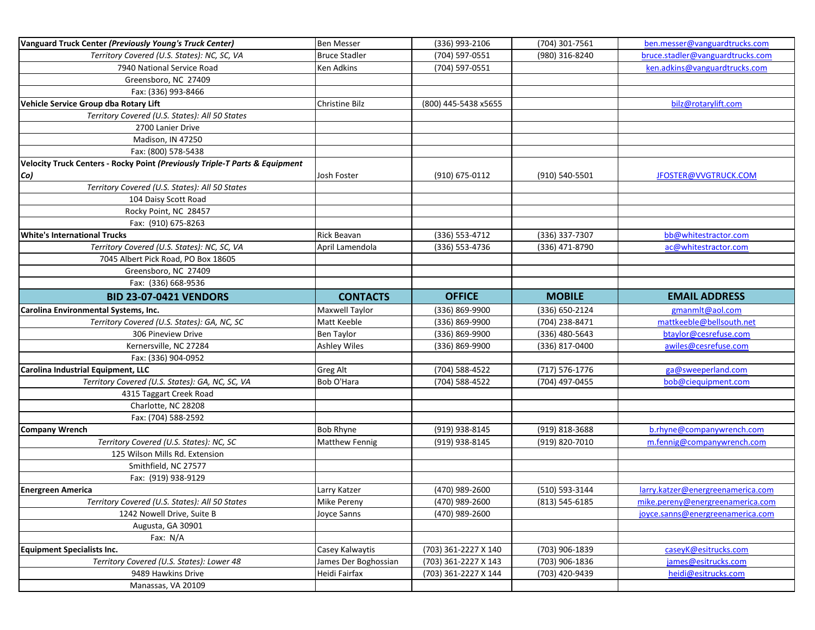| Vanguard Truck Center (Previously Young's Truck Center)                     | <b>Ben Messer</b>                     | (336) 993-2106                               | (704) 301-7561                   | ben.messer@vanguardtrucks.com              |
|-----------------------------------------------------------------------------|---------------------------------------|----------------------------------------------|----------------------------------|--------------------------------------------|
| Territory Covered (U.S. States): NC, SC, VA                                 | <b>Bruce Stadler</b>                  | (704) 597-0551                               | (980) 316-8240                   | bruce.stadler@vanguardtrucks.com           |
| 7940 National Service Road                                                  | Ken Adkins                            | (704) 597-0551                               |                                  | ken.adkins@vanguardtrucks.com              |
| Greensboro, NC 27409                                                        |                                       |                                              |                                  |                                            |
| Fax: (336) 993-8466                                                         |                                       |                                              |                                  |                                            |
| Vehicle Service Group dba Rotary Lift                                       | Christine Bilz                        | (800) 445-5438 x5655                         |                                  | bilz@rotarylift.com                        |
| Territory Covered (U.S. States): All 50 States                              |                                       |                                              |                                  |                                            |
| 2700 Lanier Drive                                                           |                                       |                                              |                                  |                                            |
| Madison, IN 47250                                                           |                                       |                                              |                                  |                                            |
| Fax: (800) 578-5438                                                         |                                       |                                              |                                  |                                            |
| Velocity Truck Centers - Rocky Point (Previously Triple-T Parts & Equipment |                                       |                                              |                                  |                                            |
| Co)                                                                         | Josh Foster                           | (910) 675-0112                               | (910) 540-5501                   | JFOSTER@VVGTRUCK.COM                       |
| Territory Covered (U.S. States): All 50 States                              |                                       |                                              |                                  |                                            |
| 104 Daisy Scott Road                                                        |                                       |                                              |                                  |                                            |
| Rocky Point, NC 28457                                                       |                                       |                                              |                                  |                                            |
| Fax: (910) 675-8263                                                         |                                       |                                              |                                  |                                            |
| <b>White's International Trucks</b>                                         | Rick Beavan                           | (336) 553-4712                               | (336) 337-7307                   | bb@whitestractor.com                       |
| Territory Covered (U.S. States): NC, SC, VA                                 | April Lamendola                       | (336) 553-4736                               | (336) 471-8790                   | ac@whitestractor.com                       |
| 7045 Albert Pick Road, PO Box 18605                                         |                                       |                                              |                                  |                                            |
| Greensboro, NC 27409                                                        |                                       |                                              |                                  |                                            |
| Fax: (336) 668-9536                                                         |                                       |                                              |                                  |                                            |
| <b>BID 23-07-0421 VENDORS</b>                                               | <b>CONTACTS</b>                       | <b>OFFICE</b>                                | <b>MOBILE</b>                    | <b>EMAIL ADDRESS</b>                       |
| Carolina Environmental Systems, Inc.                                        | Maxwell Taylor                        | (336) 869-9900                               | (336) 650-2124                   | gmanmlt@aol.com                            |
| Territory Covered (U.S. States): GA, NC, SC                                 | Matt Keeble                           | (336) 869-9900                               | (704) 238-8471                   | mattkeeble@bellsouth.net                   |
| 306 Pineview Drive                                                          | Ben Taylor                            | (336) 869-9900                               | (336) 480-5643                   | btaylor@cesrefuse.com                      |
| Kernersville, NC 27284                                                      | <b>Ashley Wiles</b>                   | (336) 869-9900                               | (336) 817-0400                   | awiles@cesrefuse.com                       |
| Fax: (336) 904-0952                                                         |                                       |                                              |                                  |                                            |
| Carolina Industrial Equipment, LLC                                          | Greg Alt                              | (704) 588-4522                               | $(717) 576 - 1776$               | ga@sweeperland.com                         |
| Territory Covered (U.S. States): GA, NC, SC, VA                             | Bob O'Hara                            | (704) 588-4522                               | (704) 497-0455                   | bob@ciequipment.com                        |
| 4315 Taggart Creek Road                                                     |                                       |                                              |                                  |                                            |
| Charlotte, NC 28208                                                         |                                       |                                              |                                  |                                            |
| Fax: (704) 588-2592                                                         |                                       |                                              |                                  |                                            |
| <b>Company Wrench</b>                                                       | Bob Rhyne                             | (919) 938-8145                               | (919) 818-3688                   | b.rhyne@companywrench.com                  |
| Territory Covered (U.S. States): NC, SC                                     | <b>Matthew Fennig</b>                 | (919) 938-8145                               | (919) 820-7010                   | m.fennig@companywrench.com                 |
| 125 Wilson Mills Rd. Extension                                              |                                       |                                              |                                  |                                            |
| Smithfield, NC 27577                                                        |                                       |                                              |                                  |                                            |
| Fax: (919) 938-9129                                                         |                                       |                                              |                                  |                                            |
| <b>Energreen America</b>                                                    | Larry Katzer                          | (470) 989-2600                               | (510) 593-3144                   | larry.katzer@energreenamerica.com          |
| Territory Covered (U.S. States): All 50 States                              | Mike Pereny                           | (470) 989-2600                               | (813) 545-6185                   | mike.pereny@energreenamerica.com           |
| 1242 Nowell Drive, Suite B                                                  | Joyce Sanns                           | (470) 989-2600                               |                                  | joyce.sanns@energreenamerica.com           |
| Augusta, GA 30901                                                           |                                       |                                              |                                  |                                            |
| Fax: N/A                                                                    |                                       |                                              |                                  |                                            |
| <b>Equipment Specialists Inc.</b>                                           |                                       |                                              |                                  |                                            |
|                                                                             |                                       |                                              |                                  |                                            |
|                                                                             | Casey Kalwaytis                       | (703) 361-2227 X 140                         | (703) 906-1839                   | caseyK@esitrucks.com                       |
| Territory Covered (U.S. States): Lower 48<br>9489 Hawkins Drive             | James Der Boghossian<br>Heidi Fairfax | (703) 361-2227 X 143<br>(703) 361-2227 X 144 | (703) 906-1836<br>(703) 420-9439 | james@esitrucks.com<br>heidi@esitrucks.com |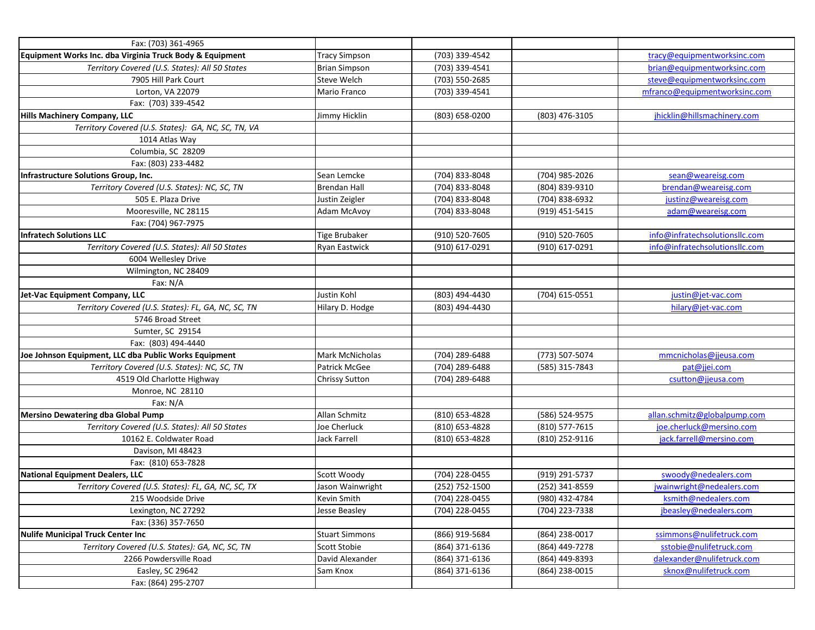| Fax: (703) 361-4965                                      |                        |                |                |                                |
|----------------------------------------------------------|------------------------|----------------|----------------|--------------------------------|
| Equipment Works Inc. dba Virginia Truck Body & Equipment | <b>Tracy Simpson</b>   | (703) 339-4542 |                | tracy@equipmentworksinc.com    |
| Territory Covered (U.S. States): All 50 States           | <b>Brian Simpson</b>   | (703) 339-4541 |                | brian@equipmentworksinc.com    |
| 7905 Hill Park Court                                     | Steve Welch            | (703) 550-2685 |                | steve@equipmentworksinc.com    |
| Lorton, VA 22079                                         | Mario Franco           | (703) 339-4541 |                | mfranco@equipmentworksinc.com  |
| Fax: (703) 339-4542                                      |                        |                |                |                                |
| <b>Hills Machinery Company, LLC</b>                      | Jimmy Hicklin          | (803) 658-0200 | (803) 476-3105 | jhicklin@hillsmachinery.com    |
| Territory Covered (U.S. States): GA, NC, SC, TN, VA      |                        |                |                |                                |
| 1014 Atlas Way                                           |                        |                |                |                                |
| Columbia, SC 28209                                       |                        |                |                |                                |
| Fax: (803) 233-4482                                      |                        |                |                |                                |
| Infrastructure Solutions Group, Inc.                     | Sean Lemcke            | (704) 833-8048 | (704) 985-2026 | sean@weareisg.com              |
| Territory Covered (U.S. States): NC, SC, TN              | Brendan Hall           | (704) 833-8048 | (804) 839-9310 | brendan@weareisg.com           |
| 505 E. Plaza Drive                                       | Justin Zeigler         | (704) 833-8048 | (704) 838-6932 | justinz@weareisg.com           |
| Mooresville, NC 28115                                    | Adam McAvoy            | (704) 833-8048 | (919) 451-5415 | adam@weareisg.com              |
| Fax: (704) 967-7975                                      |                        |                |                |                                |
| <b>Infratech Solutions LLC</b>                           | <b>Tige Brubaker</b>   | (910) 520-7605 | (910) 520-7605 | info@infratechsolutionsllc.com |
| Territory Covered (U.S. States): All 50 States           | Ryan Eastwick          | (910) 617-0291 | (910) 617-0291 | info@infratechsolutionsllc.com |
| 6004 Wellesley Drive                                     |                        |                |                |                                |
| Wilmington, NC 28409                                     |                        |                |                |                                |
| Fax: N/A                                                 |                        |                |                |                                |
| Jet-Vac Equipment Company, LLC                           | Justin Kohl            | (803) 494-4430 | (704) 615-0551 | justin@jet-vac.com             |
| Territory Covered (U.S. States): FL, GA, NC, SC, TN      | Hilary D. Hodge        | (803) 494-4430 |                | hilary@jet-vac.com             |
| 5746 Broad Street                                        |                        |                |                |                                |
| Sumter, SC 29154                                         |                        |                |                |                                |
| Fax: (803) 494-4440                                      |                        |                |                |                                |
| Joe Johnson Equipment, LLC dba Public Works Equipment    | <b>Mark McNicholas</b> | (704) 289-6488 | (773) 507-5074 | mmcnicholas@jjeusa.com         |
| Territory Covered (U.S. States): NC, SC, TN              | Patrick McGee          | (704) 289-6488 | (585) 315-7843 | pat@jjei.com                   |
| 4519 Old Charlotte Highway                               | <b>Chrissy Sutton</b>  | (704) 289-6488 |                | csutton@jjeusa.com             |
| Monroe, NC 28110                                         |                        |                |                |                                |
| Fax: N/A                                                 |                        |                |                |                                |
| Mersino Dewatering dba Global Pump                       | Allan Schmitz          | (810) 653-4828 | (586) 524-9575 | allan.schmitz@globalpump.com   |
| Territory Covered (U.S. States): All 50 States           | Joe Cherluck           | (810) 653-4828 | (810) 577-7615 | joe.cherluck@mersino.com       |
| 10162 E. Coldwater Road                                  | <b>Jack Farrell</b>    | (810) 653-4828 | (810) 252-9116 | jack.farrell@mersino.com       |
| Davison, MI 48423                                        |                        |                |                |                                |
| Fax: (810) 653-7828                                      |                        |                |                |                                |
| <b>National Equipment Dealers, LLC</b>                   | Scott Woody            | (704) 228-0455 | (919) 291-5737 | swoody@nedealers.com           |
| Territory Covered (U.S. States): FL, GA, NC, SC, TX      | Jason Wainwright       | (252) 752-1500 | (252) 341-8559 | jwainwright@nedealers.com      |
| 215 Woodside Drive                                       | Kevin Smith            | (704) 228-0455 | (980) 432-4784 | ksmith@nedealers.com           |
| Lexington, NC 27292                                      | Jesse Beasley          | (704) 228-0455 | (704) 223-7338 | jbeasley@nedealers.com         |
| Fax: (336) 357-7650                                      |                        |                |                |                                |
| <b>Nulife Municipal Truck Center Inc</b>                 | <b>Stuart Simmons</b>  | (866) 919-5684 | (864) 238-0017 | ssimmons@nulifetruck.com       |
| Territory Covered (U.S. States): GA, NC, SC, TN          | Scott Stobie           | (864) 371-6136 | (864) 449-7278 | sstobie@nulifetruck.com        |
| 2266 Powdersville Road                                   | David Alexander        | (864) 371-6136 | (864) 449-8393 | dalexander@nulifetruck.com     |
| Easley, SC 29642                                         | Sam Knox               | (864) 371-6136 | (864) 238-0015 | sknox@nulifetruck.com          |
| Fax: (864) 295-2707                                      |                        |                |                |                                |